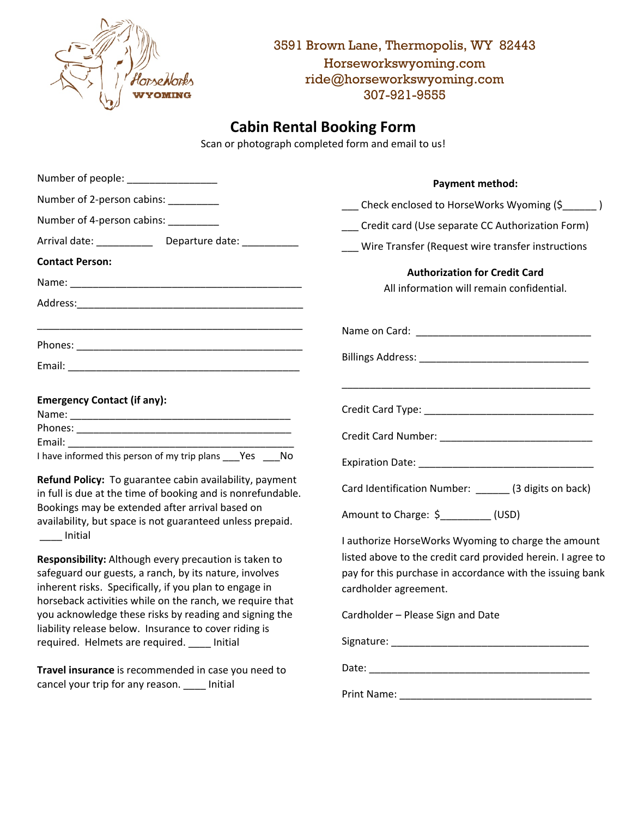

3591 Brown Lane, Thermopolis, WY 82443 Horseworkswyoming.com ride@horseworkswyoming.com 307-921-9555

## **Cabin Rental Booking Form**

Scan or photograph completed form and email to us!

| Number of people: _________________                                                                                    | <b>Payment method:</b>                                                            |
|------------------------------------------------------------------------------------------------------------------------|-----------------------------------------------------------------------------------|
| Number of 2-person cabins: _________                                                                                   | ___ Check enclosed to HorseWorks Wyoming (\$_____)                                |
| Number of 4-person cabins: ________                                                                                    | Credit card (Use separate CC Authorization Form)                                  |
| Arrival date: __________<br>Departure date: _________                                                                  | __ Wire Transfer (Request wire transfer instructions                              |
| <b>Contact Person:</b>                                                                                                 |                                                                                   |
|                                                                                                                        | <b>Authorization for Credit Card</b><br>All information will remain confidential. |
|                                                                                                                        |                                                                                   |
|                                                                                                                        |                                                                                   |
|                                                                                                                        |                                                                                   |
|                                                                                                                        |                                                                                   |
| <b>Emergency Contact (if any):</b>                                                                                     |                                                                                   |
|                                                                                                                        |                                                                                   |
| Email:                                                                                                                 |                                                                                   |
| I have informed this person of my trip plans Yes No                                                                    |                                                                                   |
| Refund Policy: To guarantee cabin availability, payment<br>in full is due at the time of booking and is nonrefundable. | Card Identification Number: ______ (3 digits on back)                             |
| Bookings may be extended after arrival based on<br>availability, but space is not guaranteed unless prepaid.           | Amount to Charge: \$_________(USD)                                                |
| ____ Initial                                                                                                           | I authorize HorseWorks Wyoming to charge the amount                               |
| Responsibility: Although every precaution is taken to                                                                  | listed above to the credit card provided herein. I agree to                       |
| safeguard our guests, a ranch, by its nature, involves                                                                 | pay for this purchase in accordance with the issuing bank                         |
| inherent risks. Specifically, if you plan to engage in<br>horseback activities while on the ranch, we require that     | cardholder agreement.                                                             |
| you acknowledge these risks by reading and signing the                                                                 | Cardholder - Please Sign and Date                                                 |
| liability release below. Insurance to cover riding is                                                                  |                                                                                   |
| required. Helmets are required. ____ Initial                                                                           |                                                                                   |
| Travel insurance is recommended in case you need to<br>cancel your trip for any reason. ____ Initial                   |                                                                                   |
|                                                                                                                        |                                                                                   |